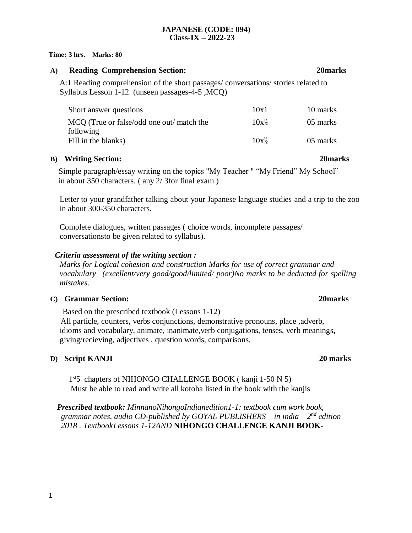### **JAPANESE (CODE: 094) Class-IX – 2022-23**

#### **Time: 3 hrs. Marks: 80**

## **A) Reading Comprehension Section: 20marks**

A:1 Reading comprehension of the short passages/ conversations/ stories related to Syllabus Lesson 1-12 (unseen passages-4-5 ,MCQ)

| Short answer questions                    | 10x1             | 10 marks |
|-------------------------------------------|------------------|----------|
| MCQ (True or false/odd one out/ match the | $10x\%$          | 05 marks |
| following                                 |                  |          |
| Fill in the blanks)                       | $10x\frac{1}{2}$ | 05 marks |

## **B) Writing Section: 20marks**

Simple paragraph/essay writing on the topics "My Teacher " "My Friend" My School" in about 350 characters. ( any 2/ 3for final exam ) .

Letter to your grandfather talking about your Japanese language studies and a trip to the zoo in about 300-350 characters.

Complete dialogues, written passages ( choice words, incomplete passages/ conversationsto be given related to syllabus).

## *Criteria assessment of the writing section :*

*Marks for Logical cohesion and construction Marks for use of correct grammar and vocabulary– (excellent/very good/good/limited/ poor)No marks to be deducted for spelling mistakes*.

## **C) Grammar Section: 20marks**

Based on the prescribed textbook (Lessons 1-12) All particle, counters, verbs conjunctions, demonstrative pronouns, place ,adverb, idioms and vocabulary, animate, inanimate,verb conjugations, tenses, verb meanings**,** giving/recieving, adjectives , question words, comparisons.

## **D) Script KANJI 20 marks**

1 st5 chapters of NIHONGO CHALLENGE BOOK ( kanji 1-50 N 5) Must be able to read and write all kotoba listed in the book with the kanjis

*Prescribed textbook: MinnanoNihongoIndianedition1-1: textbook cum work book,*  grammar notes, audio CD-published by GOYAL PUBLISHERS – in india – 2<sup>nd</sup> edition *2018 . TextbookLessons 1-12AND* **NIHONGO CHALLENGE KANJI BOOK-**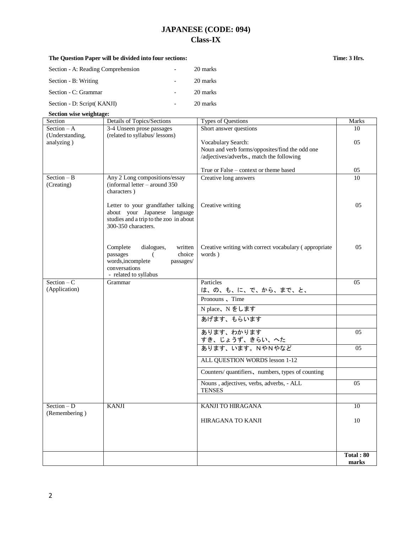# **JAPANESE (CODE: 094) Class-IX**

Section - A: Reading Comprehension - 20 marks Section - B: Writing  $\qquad \qquad$  20 marks

| Section - C: Grammar        |                                                                        | 20 marks                                                             |                    |
|-----------------------------|------------------------------------------------------------------------|----------------------------------------------------------------------|--------------------|
| Section - D: Script( KANJI) |                                                                        | 20 marks                                                             |                    |
| Section wise weightage:     |                                                                        |                                                                      |                    |
| Section                     | Details of Topics/Sections                                             | Types of Questions                                                   | Marks              |
| Section $- A$               | 3-4 Unseen prose passages                                              | Short answer questions                                               | 10                 |
| (Understanding,             | (related to syllabus/ lessons)                                         |                                                                      | 05                 |
| analyzing)                  |                                                                        | Vocabulary Search:<br>Noun and verb forms/opposites/find the odd one |                    |
|                             |                                                                        | /adjectives/adverbs., match the following                            |                    |
|                             |                                                                        |                                                                      |                    |
|                             |                                                                        | True or False – context or theme based                               | 05                 |
| $Section - B$<br>(Creating) | Any 2 Long compositions/essay<br>$(informal letter - around 350)$      | Creative long answers                                                | 10                 |
|                             | characters)                                                            |                                                                      |                    |
|                             |                                                                        |                                                                      |                    |
|                             | Letter to your grandfather talking                                     | Creative writing                                                     | 05                 |
|                             | about your Japanese language<br>studies and a trip to the zoo in about |                                                                      |                    |
|                             | 300-350 characters.                                                    |                                                                      |                    |
|                             |                                                                        |                                                                      |                    |
|                             |                                                                        |                                                                      |                    |
|                             | Complete<br>dialogues,<br>written<br>choice<br>passages<br>€.          | Creative writing with correct vocabulary (appropriate<br>words)      | 05                 |
|                             | words, incomplete<br>passages/                                         |                                                                      |                    |
|                             | conversations                                                          |                                                                      |                    |
| Section $-C$                | - related to syllabus                                                  |                                                                      |                    |
| (Application)               | Grammar                                                                | Particles<br>は、の、も、に、で、から、まで、と、                                      | 05                 |
|                             |                                                                        | Pronouns, Time                                                       |                    |
|                             |                                                                        | N place、N をします                                                       |                    |
|                             |                                                                        | あげます、もらいます                                                           |                    |
|                             |                                                                        | あります、わかります                                                           | 05                 |
|                             |                                                                        | すき、じょうず、きらい、へた                                                       |                    |
|                             |                                                                        | あります、います。NやNやなど                                                      | 05                 |
|                             |                                                                        | ALL QUESTION WORDS lesson 1-12                                       |                    |
|                             |                                                                        |                                                                      |                    |
|                             |                                                                        | Counters/ quantifiers, numbers, types of counting                    |                    |
|                             |                                                                        | Nouns, adjectives, verbs, adverbs, - ALL                             | 05                 |
|                             |                                                                        | <b>TENSES</b>                                                        |                    |
| $Section - D$               | <b>KANJI</b>                                                           | <b>KANJI TO HIRAGANA</b>                                             | 10                 |
| (Remembering)               |                                                                        |                                                                      |                    |
|                             |                                                                        | HIRAGANA TO KANJI                                                    | 10                 |
|                             |                                                                        |                                                                      |                    |
|                             |                                                                        |                                                                      |                    |
|                             |                                                                        |                                                                      |                    |
|                             |                                                                        |                                                                      | Total: 80<br>marks |

## **The Question Paper will be divided into four sections: Time: 3 Hrs.**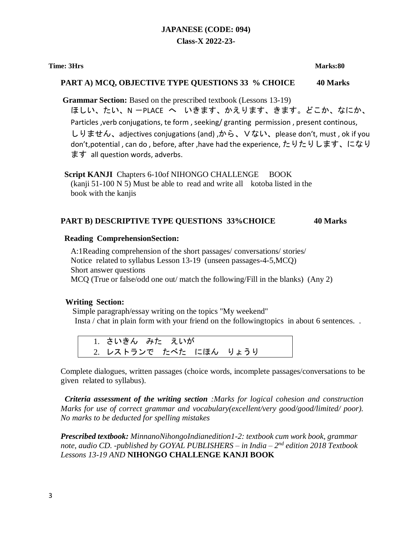## **JAPANESE (CODE: 094) Class-X 2022-23-**

#### **Time: 3Hrs Marks:80**

#### **PART A) MCQ, OBJECTIVE TYPE QUESTIONS 33 % CHOICE 40 Marks**

**Grammar Section:** Based on the prescribed textbook (Lessons 13-19)

ほしい、たい、N -PLACE へ いきます、かえります、きます。どこか、なにか、 Particles ,verb conjugations, te form , seeking/ granting permission , present continous, しりません、adjectives conjugations (and) ,から、Vない、please don't, must , ok if you don't,potential , can do , before, after ,have had the experience, たりたりします、になり ます all question words, adverbs.

**Script KANJI** Chapters 6-10of NIHONGO CHALLENGE BOOK (kanji 51-100 N 5) Must be able to read and write all kotoba listed in the book with the kanjis

### **PART B) DESCRIPTIVE TYPE QUESTIONS 33%CHOICE 40 Marks**

#### **Reading ComprehensionSection:**

A:1Reading comprehension of the short passages/ conversations/ stories/ Notice related to syllabus Lesson 13-19 (unseen passages-4-5,MCQ) Short answer questions MCQ (True or false/odd one out/ match the following/Fill in the blanks) (Any 2)

### **Writing Section:**

Simple paragraph/essay writing on the topics "My weekend" Insta / chat in plain form with your friend on the followingtopics in about 6 sentences. .

```
1. さいきん みた えいが
2. レストランで たべた にほん りょうり
```
Complete dialogues, written passages (choice words, incomplete passages/conversations to be given related to syllabus).

*Criteria assessment of the writing section :Marks for logical cohesion and construction Marks for use of correct grammar and vocabulary(excellent/very good/good/limited/ poor). No marks to be deducted for spelling mistakes*

*Prescribed textbook: MinnanoNihongoIndianedition1-2: textbook cum work book, grammar note, audio CD. -published by GOYAL PUBLISHERS – in India – 2 nd edition 2018 Textbook Lessons 13-19 AND* **NIHONGO CHALLENGE KANJI BOOK**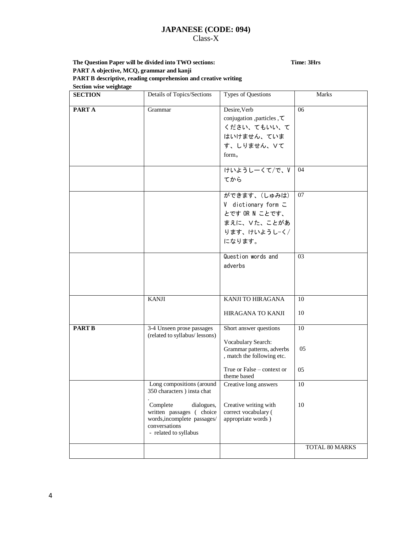#### **JAPANESE (CODE: 094)** Class-X

#### **The Question Paper will be divided into TWO sections: Time: 3Hrs PART A objective, MCQ, grammar and kanji PART B descriptive, reading comprehension and creative writing Section wise weightage**

| <b>SECTION</b> | Details of Topics/Sections                                                                                                                                                              | Types of Questions                                                                                                                                   | Marks          |
|----------------|-----------------------------------------------------------------------------------------------------------------------------------------------------------------------------------------|------------------------------------------------------------------------------------------------------------------------------------------------------|----------------|
| PART A         | Grammar                                                                                                                                                                                 | Desire, Verb<br>conjugation , particles , $\tau$<br>ください、てもいい、て<br>はいけません、ていま<br>す、しりません、Vて<br>form.                                                 | 06             |
|                |                                                                                                                                                                                         | けいようしーくて/で、V<br>てから                                                                                                                                  | 04             |
|                |                                                                                                                                                                                         | ができます、(しゅみは)<br>V dictionary form $\subset$<br>とです OR N ことです、<br>まえに、Vた、ことがあ<br>ります、けいようしーく/<br>になります。                                               | 07             |
|                |                                                                                                                                                                                         | Question words and<br>adverbs                                                                                                                        | 03             |
|                | <b>KANJI</b>                                                                                                                                                                            | KANJI TO HIRAGANA<br><b>HIRAGANA TO KANJI</b>                                                                                                        | 10<br>10       |
| <b>PART B</b>  | 3-4 Unseen prose passages<br>(related to syllabus/ lessons)                                                                                                                             | Short answer questions<br>Vocabulary Search:<br>Grammar patterns, adverbs<br>, match the following etc.<br>True or False – context or<br>theme based | 10<br>05<br>05 |
|                | Long compositions (around<br>350 characters ) insta chat<br>Complete<br>dialogues,<br>written passages (choice<br>words, incomplete passages/<br>conversations<br>- related to syllabus | Creative long answers<br>Creative writing with<br>correct vocabulary (<br>appropriate words)                                                         | 10<br>10       |
|                |                                                                                                                                                                                         |                                                                                                                                                      | TOTAL 80 MARKS |